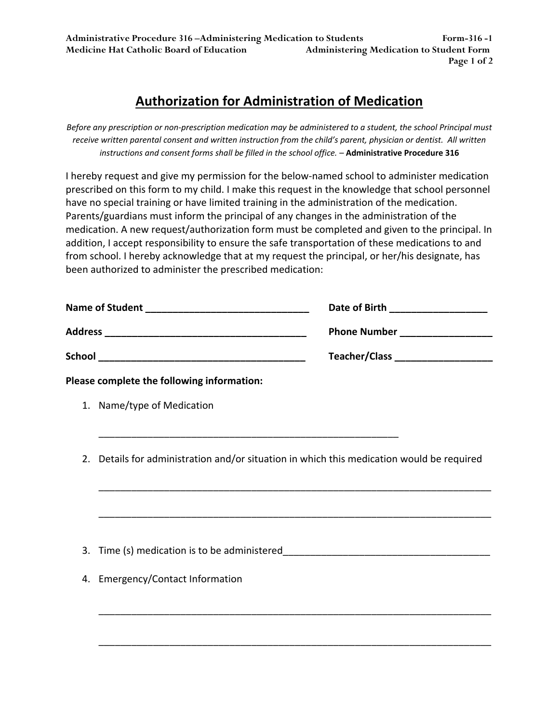## **Authorization for Administration of Medication**

Before any prescription or non-prescription medication may be administered to a student, the school Principal must receive written parental consent and written instruction from the child's parent, physician or dentist. All written *instructions and consent forms shall be filled in the school office. –* **Administrative Procedure 316**

I hereby request and give my permission for the below‐named school to administer medication prescribed on this form to my child. I make this request in the knowledge that school personnel have no special training or have limited training in the administration of the medication. Parents/guardians must inform the principal of any changes in the administration of the medication. A new request/authorization form must be completed and given to the principal. In addition, I accept responsibility to ensure the safe transportation of these medications to and from school. I hereby acknowledge that at my request the principal, or her/his designate, has been authorized to administer the prescribed medication:

| <b>Name of Student</b> | Date of Birth        |
|------------------------|----------------------|
| <b>Address</b>         | <b>Phone Number</b>  |
| <b>School</b>          | <b>Teacher/Class</b> |

**Please complete the following information:**

- 1. Name/type of Medication
- 2. Details for administration and/or situation in which this medication would be required

\_\_\_\_\_\_\_\_\_\_\_\_\_\_\_\_\_\_\_\_\_\_\_\_\_\_\_\_\_\_\_\_\_\_\_\_\_\_\_\_\_\_\_\_\_\_\_\_\_\_\_\_\_\_\_\_\_\_\_\_\_\_\_\_\_\_\_\_\_\_\_\_

\_\_\_\_\_\_\_\_\_\_\_\_\_\_\_\_\_\_\_\_\_\_\_\_\_\_\_\_\_\_\_\_\_\_\_\_\_\_\_\_\_\_\_\_\_\_\_\_\_\_\_\_\_\_\_\_\_\_\_\_\_\_\_\_\_\_\_\_\_\_\_\_

\_\_\_\_\_\_\_\_\_\_\_\_\_\_\_\_\_\_\_\_\_\_\_\_\_\_\_\_\_\_\_\_\_\_\_\_\_\_\_\_\_\_\_\_\_\_\_\_\_\_\_\_\_\_\_\_\_\_\_\_\_\_\_\_\_\_\_\_\_\_\_\_

\_\_\_\_\_\_\_\_\_\_\_\_\_\_\_\_\_\_\_\_\_\_\_\_\_\_\_\_\_\_\_\_\_\_\_\_\_\_\_\_\_\_\_\_\_\_\_\_\_\_\_\_\_\_\_\_\_\_\_\_\_\_\_\_\_\_\_\_\_\_\_\_

\_\_\_\_\_\_\_\_\_\_\_\_\_\_\_\_\_\_\_\_\_\_\_\_\_\_\_\_\_\_\_\_\_\_\_\_\_\_\_\_\_\_\_\_\_\_\_\_\_\_\_\_\_\_\_

- 3. Time (s) medication is to be administered
- 4. Emergency/Contact Information